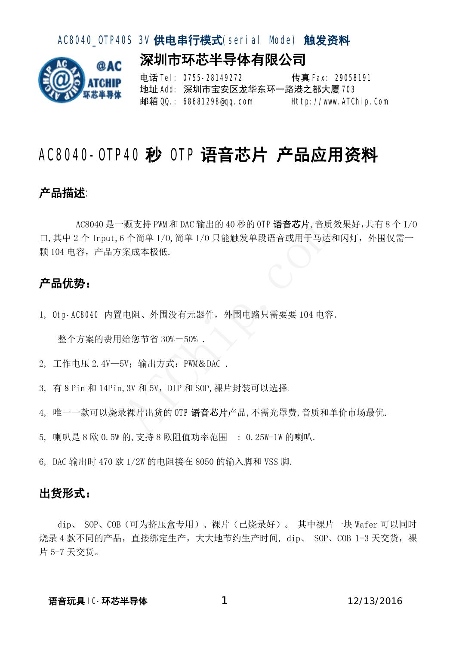### AC8040 OIP40S 3V 供电串行模式(serial Mode) 触发资料

深圳市环芯半导体有限公司



电话 Tel: 0755-28149272 传真 Fax: 29058191 地址 Add: 深圳市宝安区龙华东环一路港之都大厦 703 邮箱 QQ.: 68681298@qq.com Http://www.ATChip.Com

# AC8040-OIIP40 秒 OIIP语音芯片 产品应用资料

### 产品描述:

AC8040 是一颗支持 PWM 和 DAC 输出的 40 秒的 OTP 语音芯片, 音质效果好, 共有 8 个 I/0 口,其中2个 Input,6 个简单 I/O,简单 I/O 只能触发单段语音或用于马达和闪灯,外围仅需一 颗 104 电容,产品方案成本极低. -颗支持 PWM 和 DAC 输出的 40 秒的 OTP 语音芯片, 音质3<br>6 个简单 I/O, 简单 I/O 只能触发单段语音或用于马达利<br>案成本极低.<br><br>生阻、外围没有元器件,外围电路只需要要 104 电容.<br>给您节省 30%-50% .<br>5V; 输出方式: PWM&DAC .<br>5V; 输出方式: PWM&DAC .<br>2. 3V和 5V,DIP 和 SOP, 裸片封装可以选择.

#### 产品优势:

1, Otp-AC8040 内置电阻、外围没有元器件, 外围电路只需要要 104 电容.

整个方案的费用给您节省 30%-50% .

2, 工作电压 2.4V—5V;输出方式:PWM&DAC .

3, 有 8 Pin 和 14Pin, 3V 和 5V, DIP 和 SOP, 裸片封装可以选择.

4, 唯一一款可以烧录裸片出货的 OTP 语音芯片产品, 不需光罩费, 音质和单价市场最优.

5, 喇叭是 8 欧 0.5W 的,支持 8 欧阻值功率范围 : 0.25W-1W 的喇叭.

6, DAC 输出时 470 欧 1/2W 的电阻接在 8050 的输入脚和 VSS 脚.

#### 出货形式:

dip、 SOP、COB(可为挤压盒专用)、裸片(已烧录好)。 其中裸片一块 Wafer 可以同时 烧录 4 款不同的产品, 直接绑定生产, 大大地节约生产时间, dip、 SOP、COB 1-3 天交货, 裸 片 5-7 天交货。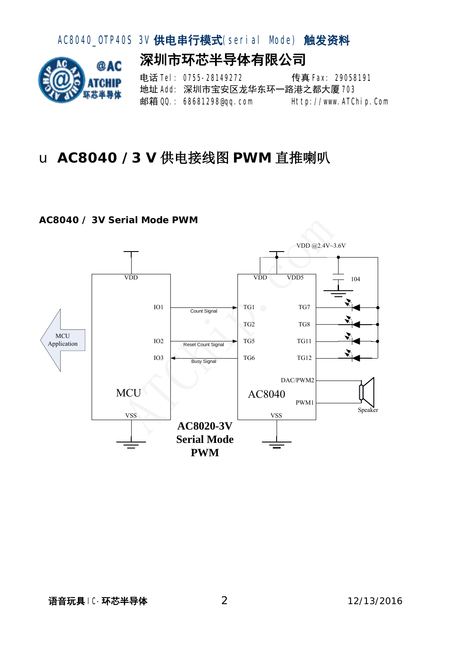

# u **AC8040 /3 V** 供电接线图 **PWM** 直推喇叭

#### **AC8040 / 3V Serial Mode PWM**

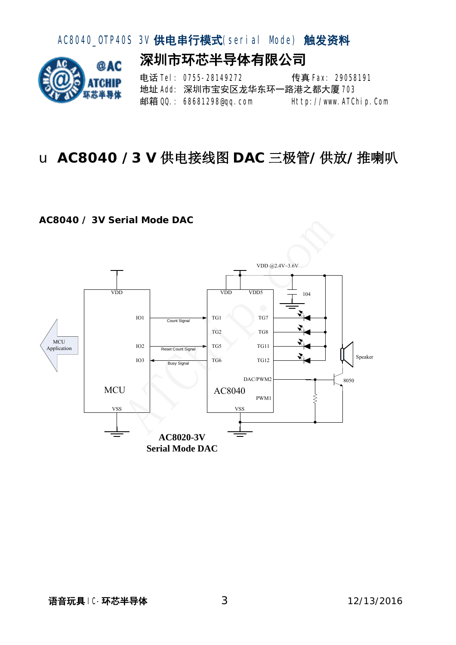

# u **AC8040 /3 V** 供电接线图 **DAC** 三极管**/**供放**/**推喇叭

#### **AC8040 / 3V Serial Mode DAC**

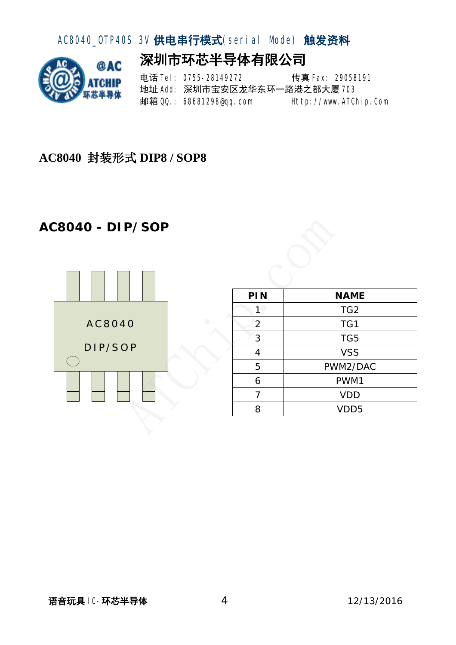

## **AC8040** 封装形式 **DIP8 / SOP8**

## **AC8040 - DIP/SOP**





| P/SOP                        |                         |                 |  |
|------------------------------|-------------------------|-----------------|--|
|                              | PIN                     | <b>NAME</b>     |  |
|                              | $1^\circ$               | TG <sub>2</sub> |  |
| $\bigcirc$<br>4 <sub>0</sub> | $\overline{2}$          | TG1             |  |
|                              | $\overline{3}$          | TG5             |  |
| O <sub>P</sub>               | $\overline{\mathbf{4}}$ | <b>VSS</b>      |  |
|                              | 5                       | PWM2/DAC        |  |
|                              | 6                       | PWM1            |  |
|                              | $\overline{7}$          | <b>VDD</b>      |  |
|                              | 8                       | VDD5            |  |
|                              |                         |                 |  |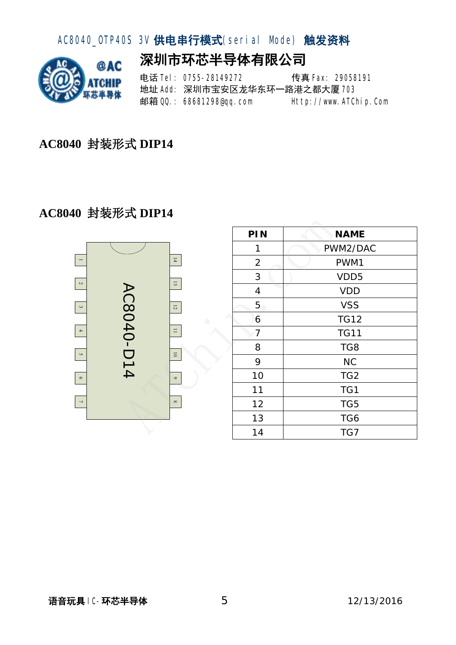

**AC8040** 封装形式 **DIP14** 

### **AC8040** 封装形式 **DIP14**



|                                                                                            |          | PIN                     | <b>NAME</b>      |
|--------------------------------------------------------------------------------------------|----------|-------------------------|------------------|
|                                                                                            |          | 1                       | PWM2/DAC         |
|                                                                                            | 14       | $\overline{2}$          | PWM1             |
| 13<br>AC8040-D14<br>12<br>$\bigodot$<br>$\sqsubset$<br>$\overline{\phantom{0}}$<br>$\circ$ |          | 3                       | VDD <sub>5</sub> |
|                                                                                            |          | $\overline{\mathbf{4}}$ | <b>VDD</b>       |
|                                                                                            |          | 5                       | <b>VSS</b>       |
|                                                                                            |          | 6                       | <b>TG12</b>      |
|                                                                                            |          | 7                       | <b>TG11</b>      |
|                                                                                            |          | 8                       | TG8              |
|                                                                                            |          | 9                       | <b>NC</b>        |
|                                                                                            |          | 10                      | TG <sub>2</sub>  |
|                                                                                            |          | 11                      | TG1              |
|                                                                                            | $\infty$ | 12                      | TG5              |
|                                                                                            |          | 13                      | TG6              |
|                                                                                            |          | 14                      | TG7              |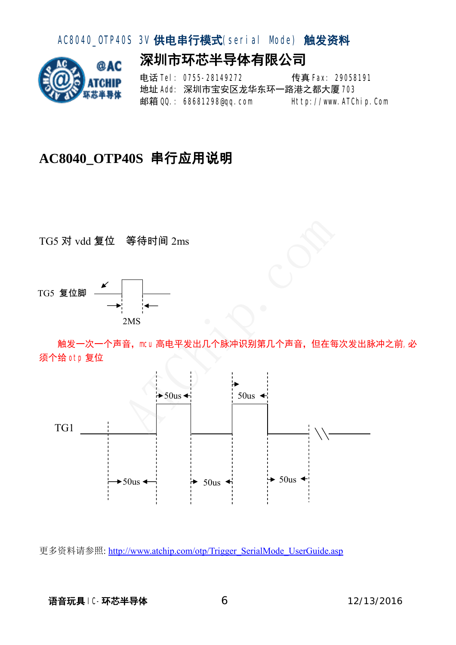## AC8040\_OTP40S 3V 供电串行模式(serial Mode) 触发资料

深圳市环芯半导体有限公司



电话 Tel: 0755-28149272 传真 Fax: 29058191 地址 Add: 深圳市宝安区龙华东环一路港之都大厦 708 邮箱 QQ.: 68681298@qq.com Http://www.ATChip.Com

# **AC8040\_OTP40S** 串行应用说明

TG5 对 vdd 复位 等待时间 2ms



触发一次一个声音, meu高电平发出几个脉冲识别第几个声音, 但在每次发出脉冲之前,必 须个给 otp 复位



更多资料请参照: http://www.atchip.com/otp/Trigger\_SerialMode\_UserGuide.asp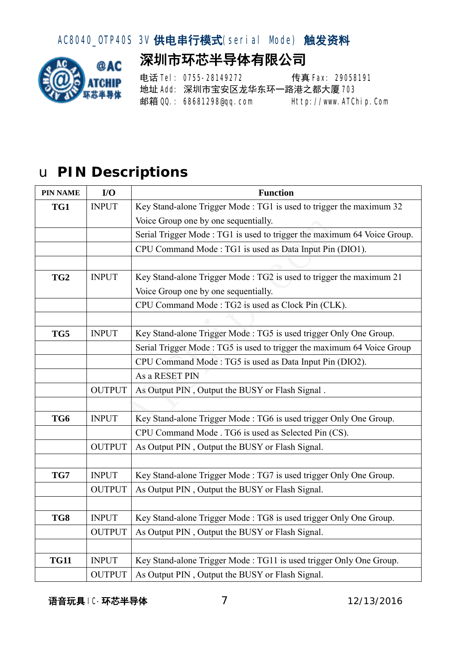## AC8040\_OTP40S 3V 供电串行模式(serial Mode) 触发资料

# 深圳市环芯半导体有限公司



电话 **Tel: 0755-28149272** 传真 Fax: 29058191 地址 Add: 深圳市宝安区龙华东环一路港之都大厦 703 邮箱 QQ.: 68681298@qq.com Http://www.ATChip.Com

# u **PIN Descriptions**

| <b>PIN NAME</b> | I/O           | <b>Function</b>                                                         |  |
|-----------------|---------------|-------------------------------------------------------------------------|--|
| TG1             | <b>INPUT</b>  | Key Stand-alone Trigger Mode: TG1 is used to trigger the maximum 32     |  |
|                 |               | Voice Group one by one sequentially.                                    |  |
|                 |               | Serial Trigger Mode: TG1 is used to trigger the maximum 64 Voice Group. |  |
|                 |               | CPU Command Mode: TG1 is used as Data Input Pin (DIO1).                 |  |
|                 |               |                                                                         |  |
| TG <sub>2</sub> | <b>INPUT</b>  | Key Stand-alone Trigger Mode: TG2 is used to trigger the maximum 21     |  |
|                 |               | Voice Group one by one sequentially.                                    |  |
|                 |               | CPU Command Mode: TG2 is used as Clock Pin (CLK).                       |  |
|                 |               |                                                                         |  |
| TG5             | <b>INPUT</b>  | Key Stand-alone Trigger Mode: TG5 is used trigger Only One Group.       |  |
|                 |               | Serial Trigger Mode: TG5 is used to trigger the maximum 64 Voice Group  |  |
|                 |               | CPU Command Mode: TG5 is used as Data Input Pin (DIO2).                 |  |
|                 |               | As a RESET PIN                                                          |  |
|                 | <b>OUTPUT</b> | As Output PIN, Output the BUSY or Flash Signal.                         |  |
|                 |               |                                                                         |  |
| TG6             | <b>INPUT</b>  | Key Stand-alone Trigger Mode: TG6 is used trigger Only One Group.       |  |
|                 |               | CPU Command Mode . TG6 is used as Selected Pin (CS).                    |  |
|                 | <b>OUTPUT</b> | As Output PIN, Output the BUSY or Flash Signal.                         |  |
|                 |               |                                                                         |  |
| TG7             | <b>INPUT</b>  | Key Stand-alone Trigger Mode: TG7 is used trigger Only One Group.       |  |
|                 | <b>OUTPUT</b> | As Output PIN, Output the BUSY or Flash Signal.                         |  |
|                 |               |                                                                         |  |
| TG8             | <b>INPUT</b>  | Key Stand-alone Trigger Mode: TG8 is used trigger Only One Group.       |  |
|                 | <b>OUTPUT</b> | As Output PIN, Output the BUSY or Flash Signal.                         |  |
|                 |               |                                                                         |  |
| <b>TG11</b>     | <b>INPUT</b>  | Key Stand-alone Trigger Mode: TG11 is used trigger Only One Group.      |  |
|                 | <b>OUTPUT</b> | As Output PIN, Output the BUSY or Flash Signal.                         |  |